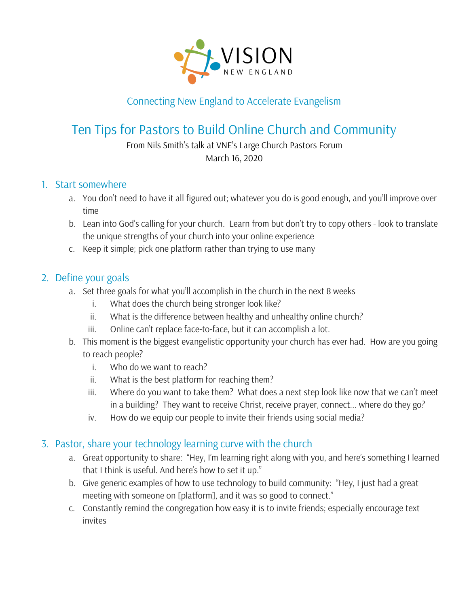

# Connecting New England to Accelerate Evangelism

# Ten Tips for Pastors to Build Online Church and Community

From Nils Smith's talk at VNE's Large Church Pastors Forum March 16, 2020

#### 1. Start somewhere

- a. You don't need to have it all figured out; whatever you do is good enough, and you'll improve over time
- b. Lean into God's calling for your church. Learn from but don't try to copy others look to translate the unique strengths of your church into your online experience
- c. Keep it simple; pick one platform rather than trying to use many

#### 2. Define your goals

- a. Set three goals for what you'll accomplish in the church in the next 8 weeks
	- i. What does the church being stronger look like?
	- ii. What is the difference between healthy and unhealthy online church?
	- iii. Online can't replace face-to-face, but it can accomplish a lot.
- b. This moment is the biggest evangelistic opportunity your church has ever had. How are you going to reach people?
	- i. Who do we want to reach?
	- ii. What is the best platform for reaching them?
	- iii. Where do you want to take them? What does a next step look like now that we can't meet in a building? They want to receive Christ, receive prayer, connect... where do they go?
	- iv. How do we equip our people to invite their friends using social media?

#### 3. Pastor, share your technology learning curve with the church

- a. Great opportunity to share: "Hey, I'm learning right along with you, and here's something I learned that I think is useful. And here's how to set it up."
- b. Give generic examples of how to use technology to build community: "Hey, I just had a great meeting with someone on [platform], and it was so good to connect."
- c. Constantly remind the congregation how easy it is to invite friends; especially encourage text invites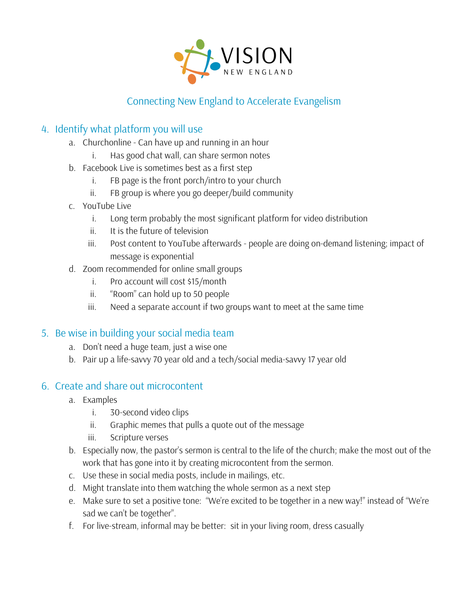

## Connecting New England to Accelerate Evangelism

### 4. Identify what platform you will use

- a. Churchonline Can have up and running in an hour
	- i. Has good chat wall, can share sermon notes
- b. Facebook Live is sometimes best as a first step
	- i. FB page is the front porch/intro to your church
	- ii. FB group is where you go deeper/build community
- c. YouTube Live
	- i. Long term probably the most significant platform for video distribution
	- ii. It is the future of television
	- iii. Post content to YouTube afterwards people are doing on-demand listening; impact of message is exponential
- d. Zoom recommended for online small groups
	- i. Pro account will cost \$15/month
	- ii. "Room" can hold up to 50 people
	- iii. Need a separate account if two groups want to meet at the same time

#### 5. Be wise in building your social media team

- a. Don't need a huge team, just a wise one
- b. Pair up a life-savvy 70 year old and a tech/social media-savvy 17 year old

#### 6. Create and share out microcontent

- a. Examples
	- i. 30-second video clips
	- ii. Graphic memes that pulls a quote out of the message
	- iii. Scripture verses
- b. Especially now, the pastor's sermon is central to the life of the church; make the most out of the work that has gone into it by creating microcontent from the sermon.
- c. Use these in social media posts, include in mailings, etc.
- d. Might translate into them watching the whole sermon as a next step
- e. Make sure to set a positive tone: "We're excited to be together in a new way!" instead of "We're sad we can't be together".
- f. For live-stream, informal may be better: sit in your living room, dress casually